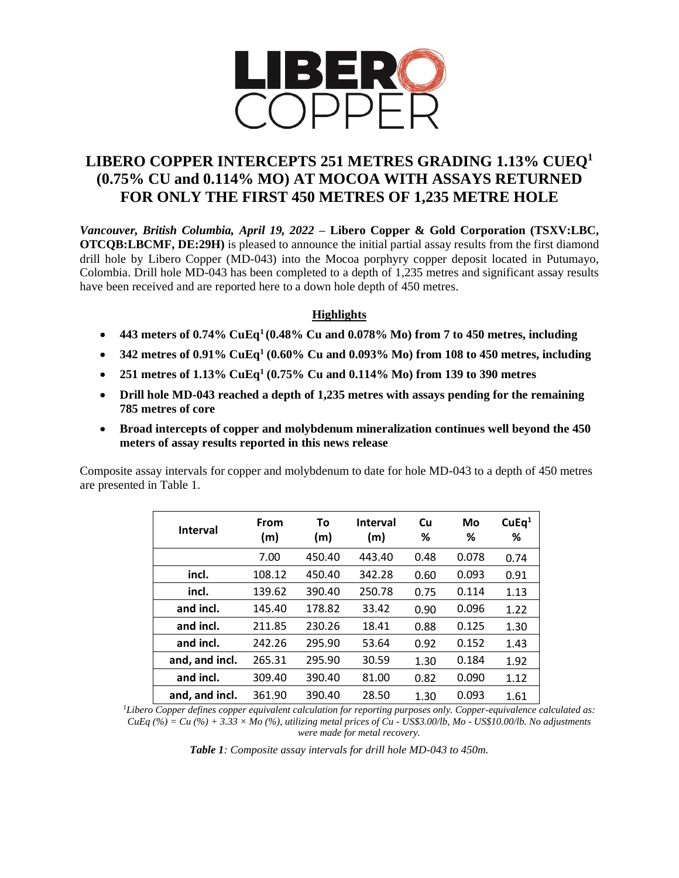

# **LIBERO COPPER INTERCEPTS 251 METRES GRADING 1.13% CUEQ<sup>1</sup> (0.75% CU and 0.114% MO) AT MOCOA WITH ASSAYS RETURNED FOR ONLY THE FIRST 450 METRES OF 1,235 METRE HOLE**

*Vancouver, British Columbia, April 19, 2022* **– Libero Copper & Gold Corporation (TSXV:LBC, OTCQB:LBCMF, DE:29H)** is pleased to announce the initial partial assay results from the first diamond drill hole by Libero Copper (MD-043) into the Mocoa porphyry copper deposit located in Putumayo, Colombia. Drill hole MD-043 has been completed to a depth of 1,235 metres and significant assay results have been received and are reported here to a down hole depth of 450 metres.

## **Highlights**

- **443 meters of 0.74% CuEq<sup>1</sup>(0.48% Cu and 0.078% Mo) from 7 to 450 metres, including**
- **342 metres of 0.91% CuEq<sup>1</sup> (0.60% Cu and 0.093% Mo) from 108 to 450 metres, including**
- **251 metres of 1.13% CuEq<sup>1</sup> (0.75% Cu and 0.114% Mo) from 139 to 390 metres**
- **Drill hole MD-043 reached a depth of 1,235 metres with assays pending for the remaining 785 metres of core**
- **Broad intercepts of copper and molybdenum mineralization continues well beyond the 450 meters of assay results reported in this news release**

Composite assay intervals for copper and molybdenum to date for hole MD-043 to a depth of 450 metres are presented in Table 1.

| <b>Interval</b> | From<br>(m) | To<br>(m) | <b>Interval</b><br>(m) | Cu<br>% | Mo<br>℅ | CuEq <sup>1</sup><br>% |
|-----------------|-------------|-----------|------------------------|---------|---------|------------------------|
|                 | 7.00        | 450.40    | 443.40                 | 0.48    | 0.078   | 0.74                   |
| incl.           | 108.12      | 450.40    | 342.28                 | 0.60    | 0.093   | 0.91                   |
| incl.           | 139.62      | 390.40    | 250.78                 | 0.75    | 0.114   | 1.13                   |
| and incl.       | 145.40      | 178.82    | 33.42                  | 0.90    | 0.096   | 1.22                   |
| and incl.       | 211.85      | 230.26    | 18.41                  | 0.88    | 0.125   | 1.30                   |
| and incl.       | 242.26      | 295.90    | 53.64                  | 0.92    | 0.152   | 1.43                   |
| and, and incl.  | 265.31      | 295.90    | 30.59                  | 1.30    | 0.184   | 1.92                   |
| and incl.       | 309.40      | 390.40    | 81.00                  | 0.82    | 0.090   | 1.12                   |
| and, and incl.  | 361.90      | 390.40    | 28.50                  | 1.30    | 0.093   | 1.61                   |

*<sup>1</sup>Libero Copper defines copper equivalent calculation for reporting purposes only. Copper-equivalence calculated as: CuEq (%) = Cu (%) + 3.33 × Mo (%), utilizing metal prices of Cu - US\$3.00/lb, Mo - US\$10.00/lb. No adjustments were made for metal recovery.*

*Table 1: Composite assay intervals for drill hole MD-043 to 450m.*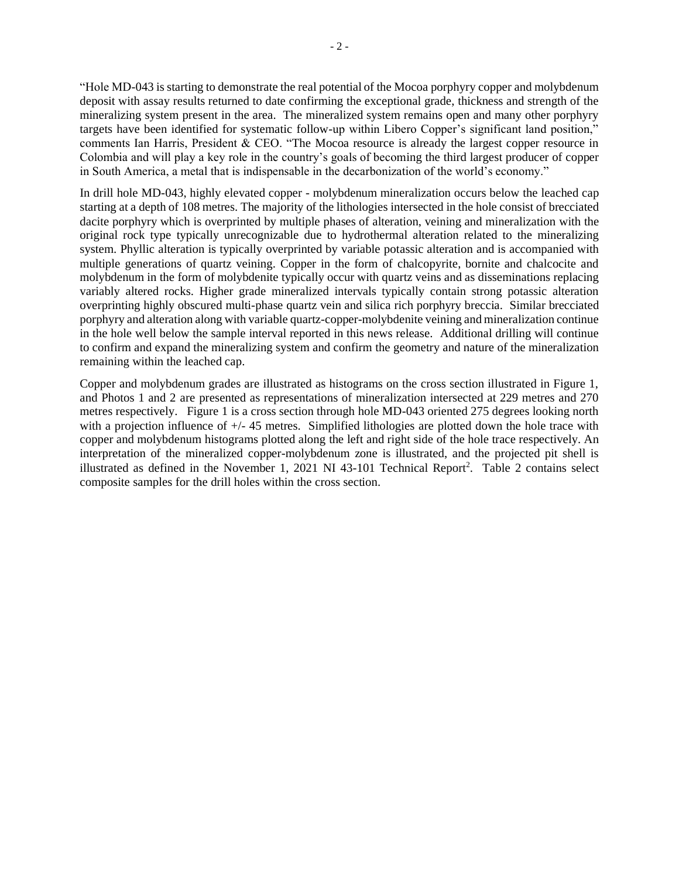"Hole MD-043 is starting to demonstrate the real potential of the Mocoa porphyry copper and molybdenum deposit with assay results returned to date confirming the exceptional grade, thickness and strength of the mineralizing system present in the area. The mineralized system remains open and many other porphyry targets have been identified for systematic follow-up within Libero Copper's significant land position," comments Ian Harris, President & CEO. "The Mocoa resource is already the largest copper resource in Colombia and will play a key role in the country's goals of becoming the third largest producer of copper in South America, a metal that is indispensable in the decarbonization of the world's economy."

In drill hole MD-043, highly elevated copper - molybdenum mineralization occurs below the leached cap starting at a depth of 108 metres. The majority of the lithologies intersected in the hole consist of brecciated dacite porphyry which is overprinted by multiple phases of alteration, veining and mineralization with the original rock type typically unrecognizable due to hydrothermal alteration related to the mineralizing system. Phyllic alteration is typically overprinted by variable potassic alteration and is accompanied with multiple generations of quartz veining. Copper in the form of chalcopyrite, bornite and chalcocite and molybdenum in the form of molybdenite typically occur with quartz veins and as disseminations replacing variably altered rocks. Higher grade mineralized intervals typically contain strong potassic alteration overprinting highly obscured multi-phase quartz vein and silica rich porphyry breccia. Similar brecciated porphyry and alteration along with variable quartz-copper-molybdenite veining and mineralization continue in the hole well below the sample interval reported in this news release. Additional drilling will continue to confirm and expand the mineralizing system and confirm the geometry and nature of the mineralization remaining within the leached cap.

Copper and molybdenum grades are illustrated as histograms on the cross section illustrated in Figure 1, and Photos 1 and 2 are presented as representations of mineralization intersected at 229 metres and 270 metres respectively. Figure 1 is a cross section through hole MD-043 oriented 275 degrees looking north with a projection influence of  $+/$ -45 metres. Simplified lithologies are plotted down the hole trace with copper and molybdenum histograms plotted along the left and right side of the hole trace respectively. An interpretation of the mineralized copper-molybdenum zone is illustrated, and the projected pit shell is illustrated as defined in the November 1, 2021 NI 43-101 Technical Report<sup>2</sup>. Table 2 contains select composite samples for the drill holes within the cross section.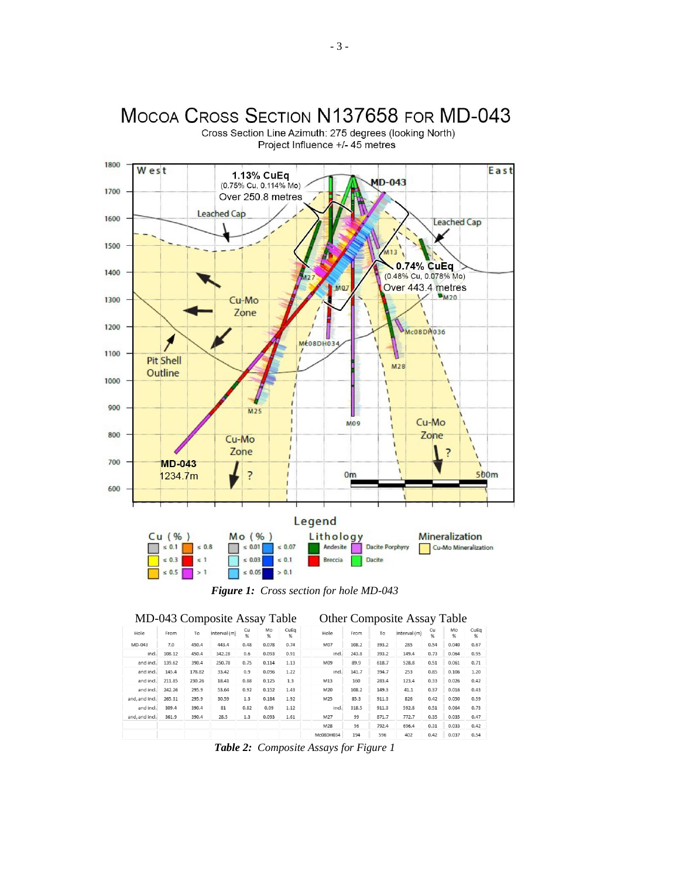

Cross Section Line Azimuth: 275 degrees (looking North) Project Influence +/- 45 metres

MOCOA CROSS SECTION N137658 FOR MD-043

*Figure 1: Cross section for hole MD-043*

|                |        |        | MD-043 Composite Assay Table |         |         |           |           |       |       | <b>Other Composite Assay Table</b> |         |         |           |
|----------------|--------|--------|------------------------------|---------|---------|-----------|-----------|-------|-------|------------------------------------|---------|---------|-----------|
| Hole           | From   | To     | Interval (m)                 | Cu<br>% | Mo<br>% | CuEq<br>% | Hole      | From  | To    | Interval (m)                       | Cu<br>% | Mo<br>% | CuEq<br>% |
| MD-043         | 7.0    | 450.4  | 443.4                        | 0.48    | 0.078   | 0.74      | M07       | 108.2 | 393.2 | 285                                | 0.54    | 0.040   | 0.67      |
| incl.          | 108.12 | 450.4  | 342.28                       | 0.6     | 0.093   | 0.91      | incl.     | 243.8 | 393.2 | 149.4                              | 0.73    | 0.064   | 0.95      |
| and incl.      | 139.62 | 390.4  | 250.78                       | 0.75    | 0.114   | 1.13      | M09       | 89.9  | 618.7 | 528.8                              | 0.51    | 0.061   | 0.71      |
| and incl.      | 145.4  | 178.82 | 33.42                        | 0.9     | 0.096   | 1.22      | incl.     | 141.7 | 394.7 | 253                                | 0.85    | 0.106   | 1.20      |
| and incl.      | 211.85 | 230.26 | 18.41                        | 0.88    | 0.125   | 1.3       | M13       | 160   | 283.4 | 123.4                              | 0.33    | 0.026   | 0.42      |
| and incl.      | 242.26 | 295.9  | 53.64                        | 0.92    | 0.152   | 1.43      | M20       | 108.2 | 149.3 | 41.1                               | 0.37    | 0.016   | 0.43      |
| and, and incl. | 265.31 | 295.9  | 30.59                        | 1.3     | 0.184   | 1.92      | M25       | 85.3  | 911.3 | 826                                | 0.42    | 0.050   | 0.59      |
| and incl.      | 309.4  | 390.4  | 81                           | 0.82    | 0.09    | 1.12      | incl.     | 318.5 | 911.3 | 592.8                              | 0.51    | 0.064   | 0.73      |
| and, and incl. | 361.9  | 390.4  | 28.5                         | 1.3     | 0.093   | 1.61      | M27       | 99    | 871.7 | 772.7                              | 0.35    | 0.035   | 0.47      |
|                |        |        |                              |         |         |           | M28       | 96    | 792.4 | 696.4                              | 0.31    | 0.033   | 0.42      |
|                |        |        |                              |         |         |           | Mc08DH034 | 194   | 596   | 402                                | 0.42    | 0.037   | 0.54      |

*Table 2: Composite Assays for Figure 1*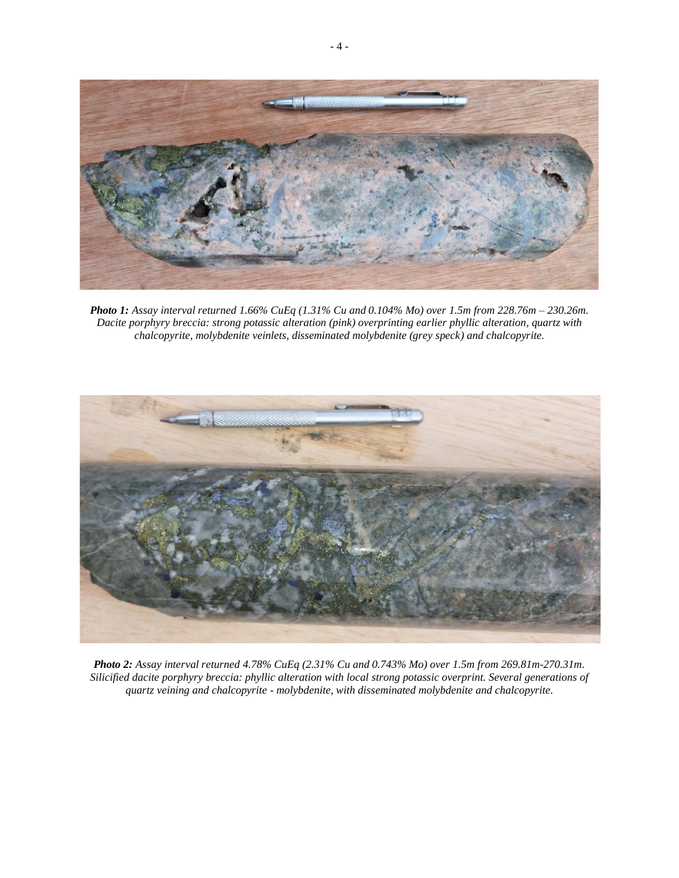

*Photo 1: Assay interval returned 1.66% CuEq (1.31% Cu and 0.104% Mo) over 1.5m from 228.76m – 230.26m. Dacite porphyry breccia: strong potassic alteration (pink) overprinting earlier phyllic alteration, quartz with chalcopyrite, molybdenite veinlets, disseminated molybdenite (grey speck) and chalcopyrite.*



*Photo 2: Assay interval returned 4.78% CuEq (2.31% Cu and 0.743% Mo) over 1.5m from 269.81m-270.31m. Silicified dacite porphyry breccia: phyllic alteration with local strong potassic overprint. Several generations of quartz veining and chalcopyrite - molybdenite, with disseminated molybdenite and chalcopyrite.*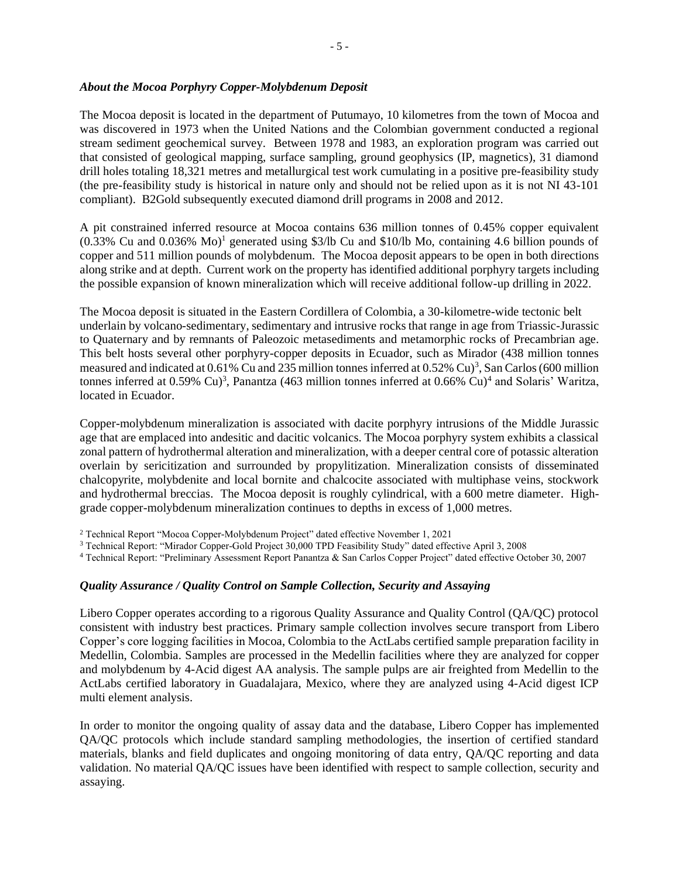#### *About the Mocoa Porphyry Copper-Molybdenum Deposit*

The Mocoa deposit is located in the department of Putumayo, 10 kilometres from the town of Mocoa and was discovered in 1973 when the United Nations and the Colombian government conducted a regional stream sediment geochemical survey. Between 1978 and 1983, an exploration program was carried out that consisted of geological mapping, surface sampling, ground geophysics (IP, magnetics), 31 diamond drill holes totaling 18,321 metres and metallurgical test work cumulating in a positive pre-feasibility study (the pre-feasibility study is historical in nature only and should not be relied upon as it is not NI 43-101 compliant). B2Gold subsequently executed diamond drill programs in 2008 and 2012.

A pit constrained inferred resource at Mocoa contains 636 million tonnes of 0.45% copper equivalent  $(0.33\%$  Cu and  $0.036\%$  Mo)<sup>1</sup> generated using \$3/lb Cu and \$10/lb Mo, containing 4.6 billion pounds of copper and 511 million pounds of molybdenum. The Mocoa deposit appears to be open in both directions along strike and at depth. Current work on the property has identified additional porphyry targets including the possible expansion of known mineralization which will receive additional follow-up drilling in 2022.

The Mocoa deposit is situated in the Eastern Cordillera of Colombia, a 30-kilometre-wide tectonic belt underlain by volcano-sedimentary, sedimentary and intrusive rocks that range in age from Triassic-Jurassic to Quaternary and by remnants of Paleozoic metasediments and metamorphic rocks of Precambrian age. This belt hosts several other porphyry-copper deposits in Ecuador, such as Mirador (438 million tonnes measured and indicated at  $0.61\%$  Cu and 235 million tonnes inferred at  $0.52\%$  Cu)<sup>3</sup>, San Carlos (600 million tonnes inferred at  $0.59\%$  Cu)<sup>3</sup>, Panantza (463 million tonnes inferred at  $0.66\%$  Cu)<sup>4</sup> and Solaris' Waritza, located in Ecuador.

Copper-molybdenum mineralization is associated with dacite porphyry intrusions of the Middle Jurassic age that are emplaced into andesitic and dacitic volcanics. The Mocoa porphyry system exhibits a classical zonal pattern of hydrothermal alteration and mineralization, with a deeper central core of potassic alteration overlain by sericitization and surrounded by propylitization. Mineralization consists of disseminated chalcopyrite, molybdenite and local bornite and chalcocite associated with multiphase veins, stockwork and hydrothermal breccias. The Mocoa deposit is roughly cylindrical, with a 600 metre diameter. Highgrade copper-molybdenum mineralization continues to depths in excess of 1,000 metres.

<sup>2</sup> Technical Report "Mocoa Copper-Molybdenum Project" dated effective November 1, 2021

<sup>3</sup> Technical Report: "Mirador Copper-Gold Project 30,000 TPD Feasibility Study" dated effective April 3, 2008

<sup>4</sup> Technical Report: "Preliminary Assessment Report Panantza & San Carlos Copper Project" dated effective October 30, 2007

#### *Quality Assurance / Quality Control on Sample Collection, Security and Assaying*

Libero Copper operates according to a rigorous Quality Assurance and Quality Control (QA/QC) protocol consistent with industry best practices. Primary sample collection involves secure transport from Libero Copper's core logging facilities in Mocoa, Colombia to the ActLabs certified sample preparation facility in Medellin, Colombia. Samples are processed in the Medellin facilities where they are analyzed for copper and molybdenum by 4-Acid digest AA analysis. The sample pulps are air freighted from Medellin to the ActLabs certified laboratory in Guadalajara, Mexico, where they are analyzed using 4-Acid digest ICP multi element analysis.

In order to monitor the ongoing quality of assay data and the database, Libero Copper has implemented QA/QC protocols which include standard sampling methodologies, the insertion of certified standard materials, blanks and field duplicates and ongoing monitoring of data entry, QA/QC reporting and data validation. No material QA/QC issues have been identified with respect to sample collection, security and assaying.